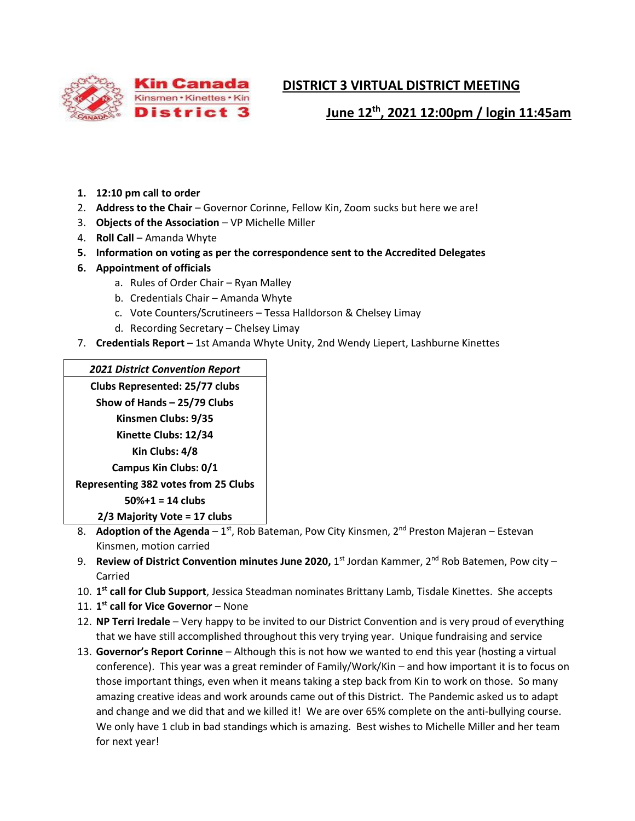

# **DISTRICT 3 VIRTUAL DISTRICT MEETING**

 **June 12th, 2021 12:00pm / login 11:45am**

- **1. 12:10 pm call to order**
- 2. **Address to the Chair** Governor Corinne, Fellow Kin, Zoom sucks but here we are!
- 3. **Objects of the Association** VP Michelle Miller
- 4. **Roll Call** Amanda Whyte
- **5. Information on voting as per the correspondence sent to the Accredited Delegates**
- **6. Appointment of officials**
	- a. Rules of Order Chair Ryan Malley
	- b. Credentials Chair Amanda Whyte
	- c. Vote Counters/Scrutineers Tessa Halldorson & Chelsey Limay
	- d. Recording Secretary Chelsey Limay
- 7. **Credentials Report** 1st Amanda Whyte Unity, 2nd Wendy Liepert, Lashburne Kinettes

### *2021 District Convention Report*

**Clubs Represented: 25/77 clubs Show of Hands – 25/79 Clubs Kinsmen Clubs: 9/35 Kinette Clubs: 12/34 Kin Clubs: 4/8 Campus Kin Clubs: 0/1 Representing 382 votes from 25 Clubs 50%+1 = 14 clubs 2/3 Majority Vote = 17 clubs**

- 8. **Adoption of the Agenda** 1<sup>st</sup>, Rob Bateman, Pow City Kinsmen, 2<sup>nd</sup> Preston Majeran Estevan Kinsmen, motion carried
- 9. **Review of District Convention minutes June 2020,** 1st Jordan Kammer, 2<sup>nd</sup> Rob Batemen, Pow city Carried
- 10. **1 st call for Club Support**, Jessica Steadman nominates Brittany Lamb, Tisdale Kinettes. She accepts
- 11. **1 st call for Vice Governor** None
- 12. **NP Terri Iredale** Very happy to be invited to our District Convention and is very proud of everything that we have still accomplished throughout this very trying year. Unique fundraising and service
- 13. **Governor's Report Corinne** Although this is not how we wanted to end this year (hosting a virtual conference). This year was a great reminder of Family/Work/Kin – and how important it is to focus on those important things, even when it means taking a step back from Kin to work on those. So many amazing creative ideas and work arounds came out of this District. The Pandemic asked us to adapt and change and we did that and we killed it! We are over 65% complete on the anti-bullying course. We only have 1 club in bad standings which is amazing. Best wishes to Michelle Miller and her team for next year!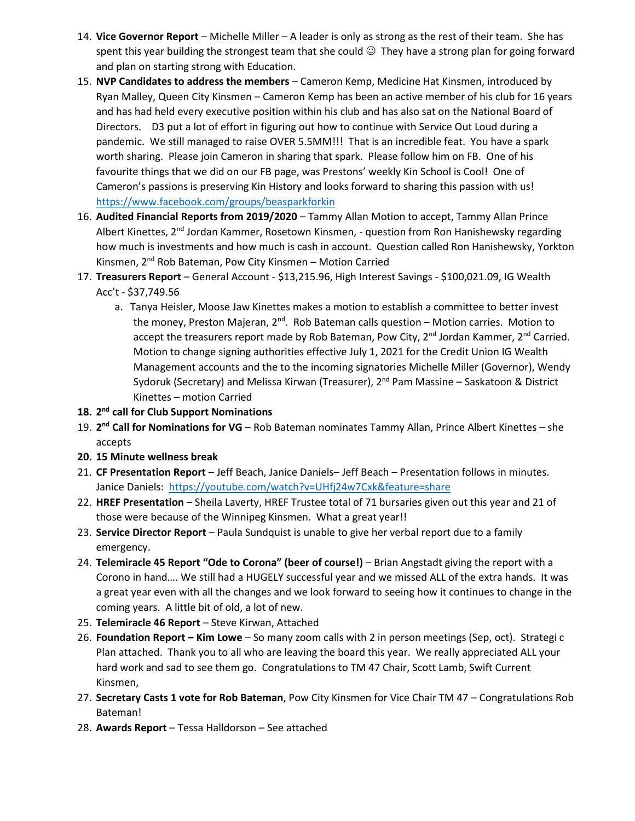- 14. **Vice Governor Report** Michelle Miller A leader is only as strong as the rest of their team. She has spent this year building the strongest team that she could  $\odot$  They have a strong plan for going forward and plan on starting strong with Education.
- 15. **NVP Candidates to address the members** Cameron Kemp, Medicine Hat Kinsmen, introduced by Ryan Malley, Queen City Kinsmen – Cameron Kemp has been an active member of his club for 16 years and has had held every executive position within his club and has also sat on the National Board of Directors. D3 put a lot of effort in figuring out how to continue with Service Out Loud during a pandemic. We still managed to raise OVER 5.5MM!!! That is an incredible feat. You have a spark worth sharing. Please join Cameron in sharing that spark. Please follow him on FB. One of his favourite things that we did on our FB page, was Prestons' weekly Kin School is Cool! One of Cameron's passions is preserving Kin History and looks forward to sharing this passion with us! <https://www.facebook.com/groups/beasparkforkin>
- 16. **Audited Financial Reports from 2019/2020** Tammy Allan Motion to accept, Tammy Allan Prince Albert Kinettes, 2<sup>nd</sup> Jordan Kammer, Rosetown Kinsmen, - question from Ron Hanishewsky regarding how much is investments and how much is cash in account. Question called Ron Hanishewsky, Yorkton Kinsmen, 2<sup>nd</sup> Rob Bateman, Pow City Kinsmen - Motion Carried
- 17. **Treasurers Report** General Account \$13,215.96, High Interest Savings \$100,021.09, IG Wealth Acc't - \$37,749.56
	- a. Tanya Heisler, Moose Jaw Kinettes makes a motion to establish a committee to better invest the money, Preston Majeran,  $2<sup>nd</sup>$ . Rob Bateman calls question – Motion carries. Motion to accept the treasurers report made by Rob Bateman, Pow City, 2<sup>nd</sup> Jordan Kammer, 2<sup>nd</sup> Carried. Motion to change signing authorities effective July 1, 2021 for the Credit Union IG Wealth Management accounts and the to the incoming signatories Michelle Miller (Governor), Wendy Sydoruk (Secretary) and Melissa Kirwan (Treasurer), 2<sup>nd</sup> Pam Massine – Saskatoon & District Kinettes – motion Carried
- **18. 2 nd call for Club Support Nominations**
- 19. **2 nd Call for Nominations for VG** Rob Bateman nominates Tammy Allan, Prince Albert Kinettes she accepts
- **20. 15 Minute wellness break**
- 21. **CF Presentation Report** Jeff Beach, Janice Daniels– Jeff Beach Presentation follows in minutes. Janice Daniels: <https://youtube.com/watch?v=UHfj24w7Cxk&feature=share>
- 22. **HREF Presentation** Sheila Laverty, HREF Trustee total of 71 bursaries given out this year and 21 of those were because of the Winnipeg Kinsmen. What a great year!!
- 23. **Service Director Report** Paula Sundquist is unable to give her verbal report due to a family emergency.
- 24. **Telemiracle 45 Report "Ode to Corona" (beer of course!)** Brian Angstadt giving the report with a Corono in hand…. We still had a HUGELY successful year and we missed ALL of the extra hands. It was a great year even with all the changes and we look forward to seeing how it continues to change in the coming years. A little bit of old, a lot of new.
- 25. **Telemiracle 46 Report** Steve Kirwan, Attached
- 26. **Foundation Report – Kim Lowe** So many zoom calls with 2 in person meetings (Sep, oct). Strategi c Plan attached. Thank you to all who are leaving the board this year. We really appreciated ALL your hard work and sad to see them go. Congratulations to TM 47 Chair, Scott Lamb, Swift Current Kinsmen,
- 27. **Secretary Casts 1 vote for Rob Bateman**, Pow City Kinsmen for Vice Chair TM 47 Congratulations Rob Bateman!
- 28. **Awards Report** Tessa Halldorson See attached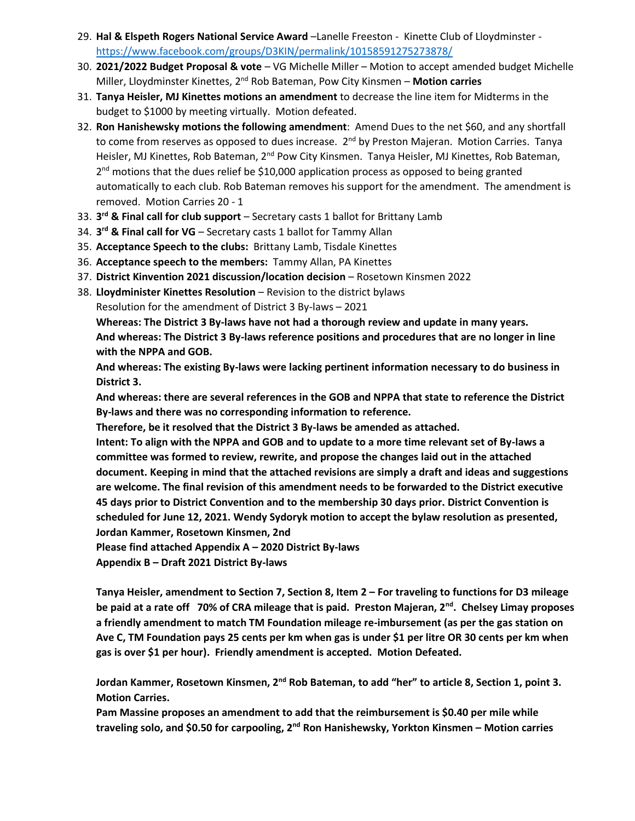- 29. **Hal & Elspeth Rogers National Service Award** –Lanelle Freeston Kinette Club of Lloydminster <https://www.facebook.com/groups/D3KIN/permalink/10158591275273878/>
- 30. **2021/2022 Budget Proposal & vote** VG Michelle Miller Motion to accept amended budget Michelle Miller, Lloydminster Kinettes, 2nd Rob Bateman, Pow City Kinsmen – **Motion carries**
- 31. **Tanya Heisler, MJ Kinettes motions an amendment** to decrease the line item for Midterms in the budget to \$1000 by meeting virtually. Motion defeated.
- 32. **Ron Hanishewsky motions the following amendment**: Amend Dues to the net \$60, and any shortfall to come from reserves as opposed to dues increase.  $2<sup>nd</sup>$  by Preston Majeran. Motion Carries. Tanya Heisler, MJ Kinettes, Rob Bateman, 2<sup>nd</sup> Pow City Kinsmen. Tanya Heisler, MJ Kinettes, Rob Bateman, 2<sup>nd</sup> motions that the dues relief be \$10,000 application process as opposed to being granted automatically to each club. Rob Bateman removes his support for the amendment. The amendment is removed. Motion Carries 20 - 1
- 33. **3 rd & Final call for club support** Secretary casts 1 ballot for Brittany Lamb
- 34. **3 rd & Final call for VG** Secretary casts 1 ballot for Tammy Allan
- 35. **Acceptance Speech to the clubs:** Brittany Lamb, Tisdale Kinettes
- 36. **Acceptance speech to the members:** Tammy Allan, PA Kinettes
- 37. **District Kinvention 2021 discussion/location decision** Rosetown Kinsmen 2022
- 38. **Lloydminister Kinettes Resolution** Revision to the district bylaws

Resolution for the amendment of District 3 By-laws – 2021

**Whereas: The District 3 By-laws have not had a thorough review and update in many years. And whereas: The District 3 By-laws reference positions and procedures that are no longer in line with the NPPA and GOB.**

**And whereas: The existing By-laws were lacking pertinent information necessary to do business in District 3.**

**And whereas: there are several references in the GOB and NPPA that state to reference the District By-laws and there was no corresponding information to reference.**

**Therefore, be it resolved that the District 3 By-laws be amended as attached.**

**Intent: To align with the NPPA and GOB and to update to a more time relevant set of By-laws a committee was formed to review, rewrite, and propose the changes laid out in the attached document. Keeping in mind that the attached revisions are simply a draft and ideas and suggestions are welcome. The final revision of this amendment needs to be forwarded to the District executive 45 days prior to District Convention and to the membership 30 days prior. District Convention is scheduled for June 12, 2021. Wendy Sydoryk motion to accept the bylaw resolution as presented, Jordan Kammer, Rosetown Kinsmen, 2nd**

**Please find attached Appendix A – 2020 District By-laws**

**Appendix B – Draft 2021 District By-laws**

Tanya Heisler, amendment to Section 7, Section 8, Item 2 - For traveling to functions for D3 mileage **be paid at a rate off 70% of CRA mileage that is paid. Preston Majeran, 2nd. Chelsey Limay proposes a friendly amendment to match TM Foundation mileage re-imbursement (as per the gas station on Ave C, TM Foundation pays 25 cents per km when gas is under \$1 per litre OR 30 cents per km when gas is over \$1 per hour). Friendly amendment is accepted. Motion Defeated.**

**Jordan Kammer, Rosetown Kinsmen, 2nd Rob Bateman, to add "her" to article 8, Section 1, point 3. Motion Carries.**

**Pam Massine proposes an amendment to add that the reimbursement is \$0.40 per mile while traveling solo, and \$0.50 for carpooling, 2 nd Ron Hanishewsky, Yorkton Kinsmen – Motion carries**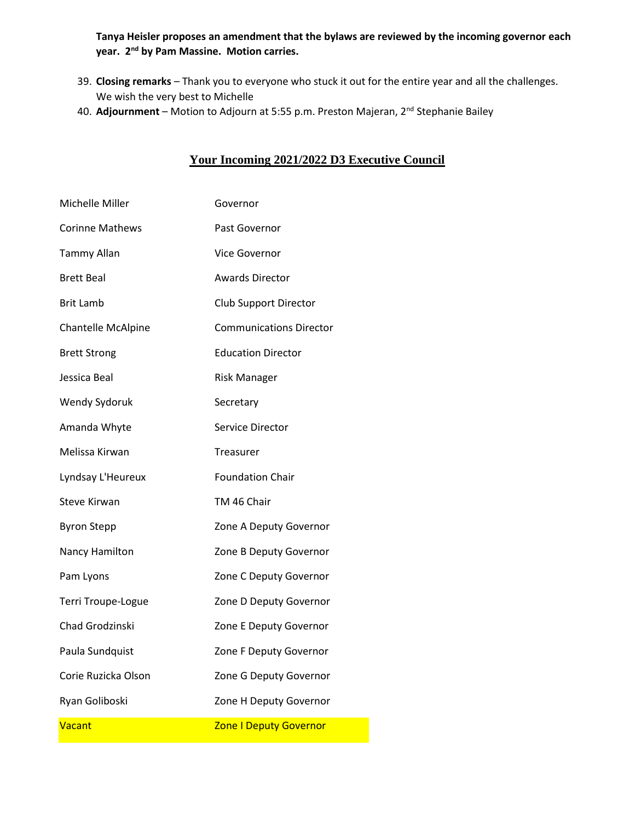**Tanya Heisler proposes an amendment that the bylaws are reviewed by the incoming governor each year. 2nd by Pam Massine. Motion carries.**

- 39. **Closing remarks** Thank you to everyone who stuck it out for the entire year and all the challenges. We wish the very best to Michelle
- 40. **Adjournment** Motion to Adjourn at 5:55 p.m. Preston Majeran, 2nd Stephanie Bailey

### **Your Incoming 2021/2022 D3 Executive Council**

| Michelle Miller        | Governor                       |
|------------------------|--------------------------------|
| <b>Corinne Mathews</b> | Past Governor                  |
| <b>Tammy Allan</b>     | Vice Governor                  |
| <b>Brett Beal</b>      | <b>Awards Director</b>         |
| Brit Lamb              | Club Support Director          |
| Chantelle McAlpine     | <b>Communications Director</b> |
| <b>Brett Strong</b>    | <b>Education Director</b>      |
| Jessica Beal           | <b>Risk Manager</b>            |
| Wendy Sydoruk          | Secretary                      |
| Amanda Whyte           | Service Director               |
| Melissa Kirwan         | Treasurer                      |
| Lyndsay L'Heureux      | <b>Foundation Chair</b>        |
| <b>Steve Kirwan</b>    | TM 46 Chair                    |
| <b>Byron Stepp</b>     | Zone A Deputy Governor         |
| Nancy Hamilton         | Zone B Deputy Governor         |
| Pam Lyons              | Zone C Deputy Governor         |
| Terri Troupe-Logue     | Zone D Deputy Governor         |
| Chad Grodzinski        | Zone E Deputy Governor         |
| Paula Sundquist        | Zone F Deputy Governor         |
| Corie Ruzicka Olson    | Zone G Deputy Governor         |
| Ryan Goliboski         | Zone H Deputy Governor         |
| Vacant                 | <b>Zone I Deputy Governor</b>  |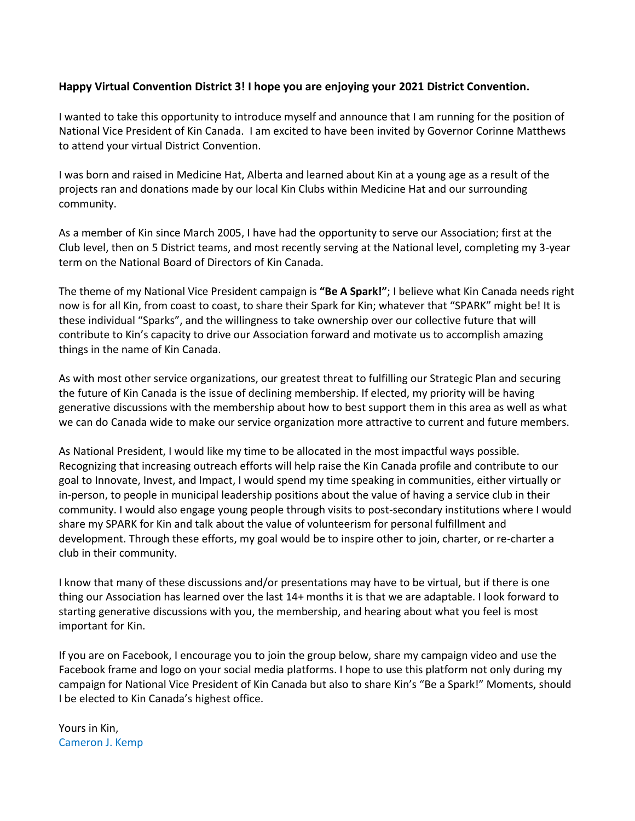### **Happy Virtual Convention District 3! I hope you are enjoying your 2021 District Convention.**

I wanted to take this opportunity to introduce myself and announce that I am running for the position of National Vice President of Kin Canada. I am excited to have been invited by Governor Corinne Matthews to attend your virtual District Convention.

I was born and raised in Medicine Hat, Alberta and learned about Kin at a young age as a result of the projects ran and donations made by our local Kin Clubs within Medicine Hat and our surrounding community.

As a member of Kin since March 2005, I have had the opportunity to serve our Association; first at the Club level, then on 5 District teams, and most recently serving at the National level, completing my 3-year term on the National Board of Directors of Kin Canada.

The theme of my National Vice President campaign is **"Be A Spark!"**; I believe what Kin Canada needs right now is for all Kin, from coast to coast, to share their Spark for Kin; whatever that "SPARK" might be! It is these individual "Sparks", and the willingness to take ownership over our collective future that will contribute to Kin's capacity to drive our Association forward and motivate us to accomplish amazing things in the name of Kin Canada.

As with most other service organizations, our greatest threat to fulfilling our Strategic Plan and securing the future of Kin Canada is the issue of declining membership. If elected, my priority will be having generative discussions with the membership about how to best support them in this area as well as what we can do Canada wide to make our service organization more attractive to current and future members.

As National President, I would like my time to be allocated in the most impactful ways possible. Recognizing that increasing outreach efforts will help raise the Kin Canada profile and contribute to our goal to Innovate, Invest, and Impact, I would spend my time speaking in communities, either virtually or in-person, to people in municipal leadership positions about the value of having a service club in their community. I would also engage young people through visits to post-secondary institutions where I would share my SPARK for Kin and talk about the value of volunteerism for personal fulfillment and development. Through these efforts, my goal would be to inspire other to join, charter, or re-charter a club in their community.

I know that many of these discussions and/or presentations may have to be virtual, but if there is one thing our Association has learned over the last 14+ months it is that we are adaptable. I look forward to starting generative discussions with you, the membership, and hearing about what you feel is most important for Kin.

If you are on Facebook, I encourage you to join the group below, share my campaign video and use the Facebook frame and logo on your social media platforms. I hope to use this platform not only during my campaign for National Vice President of Kin Canada but also to share Kin's "Be a Spark!" Moments, should I be elected to Kin Canada's highest office.

Yours in Kin, Cameron J. Kemp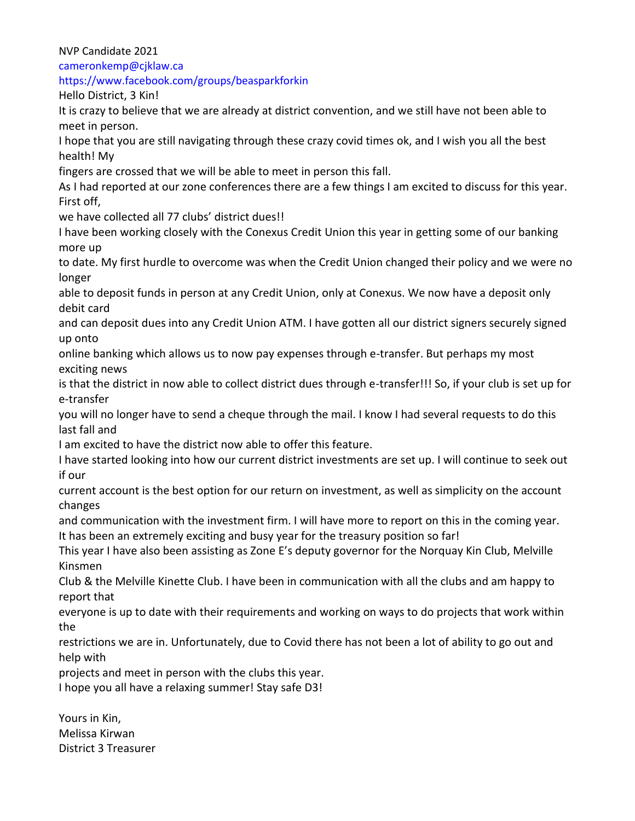NVP Candidate 2021

cameronkemp@cjklaw.ca

https://www.facebook.com/groups/beasparkforkin

Hello District, 3 Kin!

It is crazy to believe that we are already at district convention, and we still have not been able to meet in person.

I hope that you are still navigating through these crazy covid times ok, and I wish you all the best health! My

fingers are crossed that we will be able to meet in person this fall.

As I had reported at our zone conferences there are a few things I am excited to discuss for this year. First off,

we have collected all 77 clubs' district dues!!

I have been working closely with the Conexus Credit Union this year in getting some of our banking more up

to date. My first hurdle to overcome was when the Credit Union changed their policy and we were no longer

able to deposit funds in person at any Credit Union, only at Conexus. We now have a deposit only debit card

and can deposit dues into any Credit Union ATM. I have gotten all our district signers securely signed up onto

online banking which allows us to now pay expenses through e-transfer. But perhaps my most exciting news

is that the district in now able to collect district dues through e-transfer!!! So, if your club is set up for e-transfer

you will no longer have to send a cheque through the mail. I know I had several requests to do this last fall and

I am excited to have the district now able to offer this feature.

I have started looking into how our current district investments are set up. I will continue to seek out if our

current account is the best option for our return on investment, as well as simplicity on the account changes

and communication with the investment firm. I will have more to report on this in the coming year. It has been an extremely exciting and busy year for the treasury position so far!

This year I have also been assisting as Zone E's deputy governor for the Norquay Kin Club, Melville Kinsmen

Club & the Melville Kinette Club. I have been in communication with all the clubs and am happy to report that

everyone is up to date with their requirements and working on ways to do projects that work within the

restrictions we are in. Unfortunately, due to Covid there has not been a lot of ability to go out and help with

projects and meet in person with the clubs this year.

I hope you all have a relaxing summer! Stay safe D3!

Yours in Kin, Melissa Kirwan District 3 Treasurer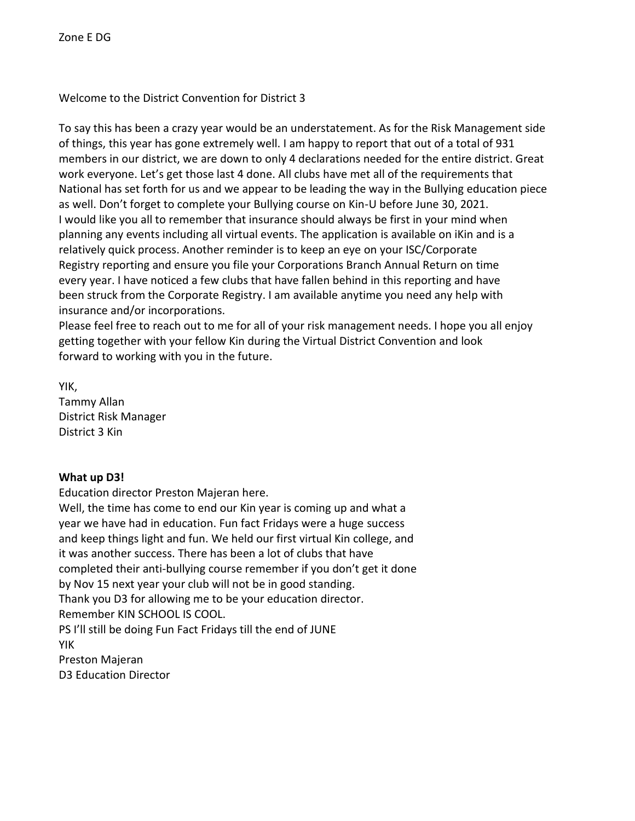Welcome to the District Convention for District 3

To say this has been a crazy year would be an understatement. As for the Risk Management side of things, this year has gone extremely well. I am happy to report that out of a total of 931 members in our district, we are down to only 4 declarations needed for the entire district. Great work everyone. Let's get those last 4 done. All clubs have met all of the requirements that National has set forth for us and we appear to be leading the way in the Bullying education piece as well. Don't forget to complete your Bullying course on Kin-U before June 30, 2021. I would like you all to remember that insurance should always be first in your mind when planning any events including all virtual events. The application is available on iKin and is a relatively quick process. Another reminder is to keep an eye on your ISC/Corporate Registry reporting and ensure you file your Corporations Branch Annual Return on time every year. I have noticed a few clubs that have fallen behind in this reporting and have been struck from the Corporate Registry. I am available anytime you need any help with insurance and/or incorporations.

Please feel free to reach out to me for all of your risk management needs. I hope you all enjoy getting together with your fellow Kin during the Virtual District Convention and look forward to working with you in the future.

YIK,

Tammy Allan District Risk Manager District 3 Kin

# **What up D3!**

Education director Preston Majeran here.

Well, the time has come to end our Kin year is coming up and what a year we have had in education. Fun fact Fridays were a huge success and keep things light and fun. We held our first virtual Kin college, and it was another success. There has been a lot of clubs that have completed their anti-bullying course remember if you don't get it done by Nov 15 next year your club will not be in good standing. Thank you D3 for allowing me to be your education director. Remember KIN SCHOOL IS COOL. PS I'll still be doing Fun Fact Fridays till the end of JUNE YIK Preston Majeran D3 Education Director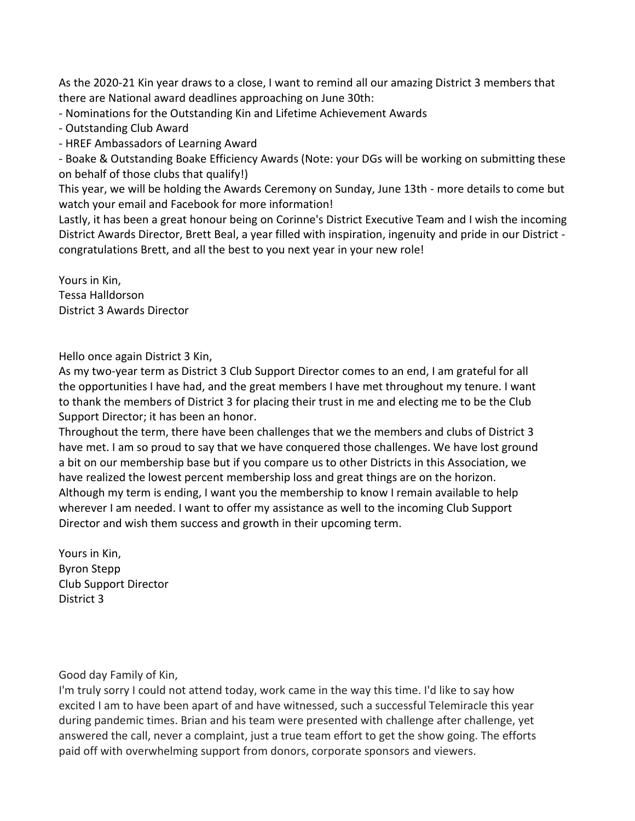As the 2020-21 Kin year draws to a close, I want to remind all our amazing District 3 members that there are National award deadlines approaching on June 30th:

- Nominations for the Outstanding Kin and Lifetime Achievement Awards

- Outstanding Club Award
- HREF Ambassadors of Learning Award

- Boake & Outstanding Boake Efficiency Awards (Note: your DGs will be working on submitting these on behalf of those clubs that qualify!)

This year, we will be holding the Awards Ceremony on Sunday, June 13th - more details to come but watch your email and Facebook for more information!

Lastly, it has been a great honour being on Corinne's District Executive Team and I wish the incoming District Awards Director, Brett Beal, a year filled with inspiration, ingenuity and pride in our District congratulations Brett, and all the best to you next year in your new role!

Yours in Kin, Tessa Halldorson District 3 Awards Director

Hello once again District 3 Kin,

As my two-year term as District 3 Club Support Director comes to an end, I am grateful for all the opportunities I have had, and the great members I have met throughout my tenure. I want to thank the members of District 3 for placing their trust in me and electing me to be the Club Support Director; it has been an honor.

Throughout the term, there have been challenges that we the members and clubs of District 3 have met. I am so proud to say that we have conquered those challenges. We have lost ground a bit on our membership base but if you compare us to other Districts in this Association, we have realized the lowest percent membership loss and great things are on the horizon. Although my term is ending, I want you the membership to know I remain available to help wherever I am needed. I want to offer my assistance as well to the incoming Club Support Director and wish them success and growth in their upcoming term.

Yours in Kin, Byron Stepp Club Support Director District 3

Good day Family of Kin,

I'm truly sorry I could not attend today, work came in the way this time. I'd like to say how excited I am to have been apart of and have witnessed, such a successful Telemiracle this year during pandemic times. Brian and his team were presented with challenge after challenge, yet answered the call, never a complaint, just a true team effort to get the show going. The efforts paid off with overwhelming support from donors, corporate sponsors and viewers.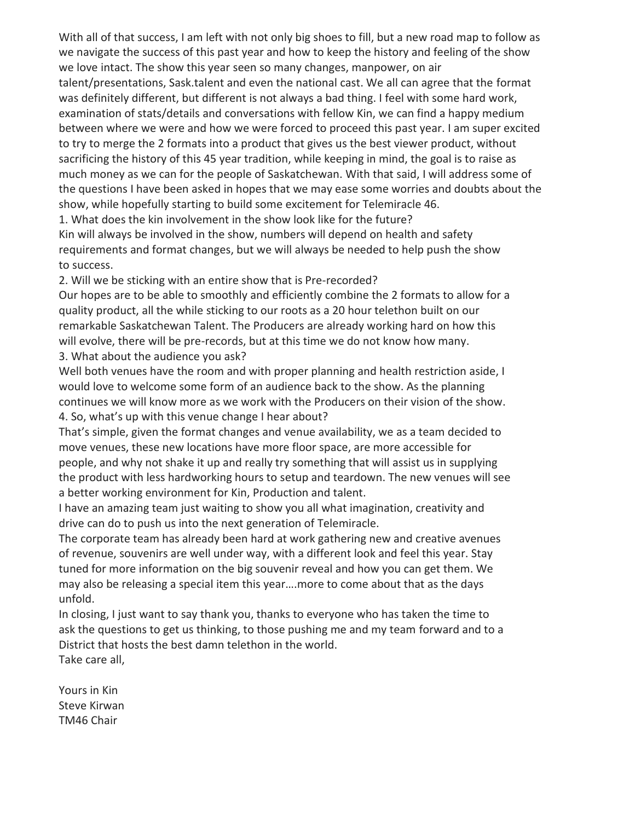With all of that success, I am left with not only big shoes to fill, but a new road map to follow as we navigate the success of this past year and how to keep the history and feeling of the show we love intact. The show this year seen so many changes, manpower, on air talent/presentations, Sask.talent and even the national cast. We all can agree that the format was definitely different, but different is not always a bad thing. I feel with some hard work, examination of stats/details and conversations with fellow Kin, we can find a happy medium between where we were and how we were forced to proceed this past year. I am super excited to try to merge the 2 formats into a product that gives us the best viewer product, without sacrificing the history of this 45 year tradition, while keeping in mind, the goal is to raise as much money as we can for the people of Saskatchewan. With that said, I will address some of the questions I have been asked in hopes that we may ease some worries and doubts about the show, while hopefully starting to build some excitement for Telemiracle 46.

1. What does the kin involvement in the show look like for the future? Kin will always be involved in the show, numbers will depend on health and safety

requirements and format changes, but we will always be needed to help push the show to success.

2. Will we be sticking with an entire show that is Pre-recorded?

Our hopes are to be able to smoothly and efficiently combine the 2 formats to allow for a quality product, all the while sticking to our roots as a 20 hour telethon built on our remarkable Saskatchewan Talent. The Producers are already working hard on how this will evolve, there will be pre-records, but at this time we do not know how many. 3. What about the audience you ask?

Well both venues have the room and with proper planning and health restriction aside, I would love to welcome some form of an audience back to the show. As the planning continues we will know more as we work with the Producers on their vision of the show. 4. So, what's up with this venue change I hear about?

That's simple, given the format changes and venue availability, we as a team decided to move venues, these new locations have more floor space, are more accessible for people, and why not shake it up and really try something that will assist us in supplying the product with less hardworking hours to setup and teardown. The new venues will see a better working environment for Kin, Production and talent.

I have an amazing team just waiting to show you all what imagination, creativity and drive can do to push us into the next generation of Telemiracle.

The corporate team has already been hard at work gathering new and creative avenues of revenue, souvenirs are well under way, with a different look and feel this year. Stay tuned for more information on the big souvenir reveal and how you can get them. We may also be releasing a special item this year….more to come about that as the days unfold.

In closing, I just want to say thank you, thanks to everyone who has taken the time to ask the questions to get us thinking, to those pushing me and my team forward and to a District that hosts the best damn telethon in the world. Take care all,

Yours in Kin Steve Kirwan

TM46 Chair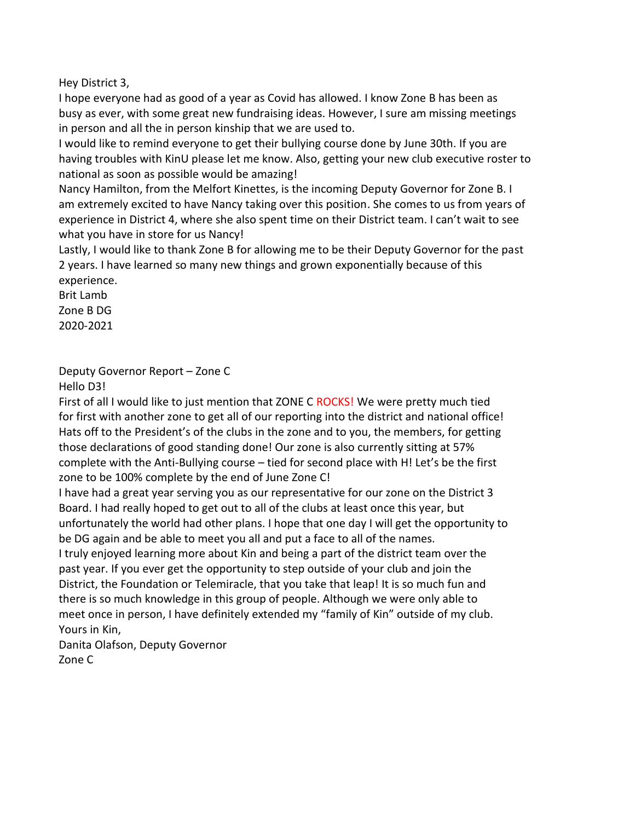Hey District 3,

I hope everyone had as good of a year as Covid has allowed. I know Zone B has been as busy as ever, with some great new fundraising ideas. However, I sure am missing meetings in person and all the in person kinship that we are used to.

I would like to remind everyone to get their bullying course done by June 30th. If you are having troubles with KinU please let me know. Also, getting your new club executive roster to national as soon as possible would be amazing!

Nancy Hamilton, from the Melfort Kinettes, is the incoming Deputy Governor for Zone B. I am extremely excited to have Nancy taking over this position. She comes to us from years of experience in District 4, where she also spent time on their District team. I can't wait to see what you have in store for us Nancy!

Lastly, I would like to thank Zone B for allowing me to be their Deputy Governor for the past 2 years. I have learned so many new things and grown exponentially because of this experience.

Brit Lamb Zone B DG 2020-2021

#### Deputy Governor Report – Zone C Hello D3!

First of all I would like to just mention that ZONE C ROCKS! We were pretty much tied for first with another zone to get all of our reporting into the district and national office! Hats off to the President's of the clubs in the zone and to you, the members, for getting those declarations of good standing done! Our zone is also currently sitting at 57% complete with the Anti-Bullying course – tied for second place with H! Let's be the first zone to be 100% complete by the end of June Zone C!

I have had a great year serving you as our representative for our zone on the District 3 Board. I had really hoped to get out to all of the clubs at least once this year, but unfortunately the world had other plans. I hope that one day I will get the opportunity to be DG again and be able to meet you all and put a face to all of the names.

I truly enjoyed learning more about Kin and being a part of the district team over the past year. If you ever get the opportunity to step outside of your club and join the District, the Foundation or Telemiracle, that you take that leap! It is so much fun and there is so much knowledge in this group of people. Although we were only able to meet once in person, I have definitely extended my "family of Kin" outside of my club. Yours in Kin,

Danita Olafson, Deputy Governor Zone C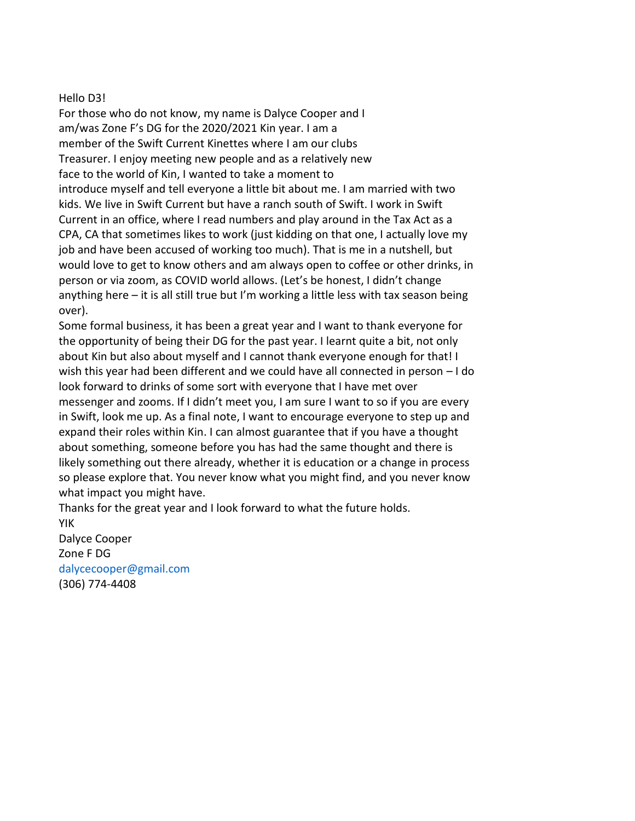### Hello D3!

For those who do not know, my name is Dalyce Cooper and I am/was Zone F's DG for the 2020/2021 Kin year. I am a member of the Swift Current Kinettes where I am our clubs Treasurer. I enjoy meeting new people and as a relatively new face to the world of Kin, I wanted to take a moment to introduce myself and tell everyone a little bit about me. I am married with two kids. We live in Swift Current but have a ranch south of Swift. I work in Swift Current in an office, where I read numbers and play around in the Tax Act as a CPA, CA that sometimes likes to work (just kidding on that one, I actually love my job and have been accused of working too much). That is me in a nutshell, but would love to get to know others and am always open to coffee or other drinks, in person or via zoom, as COVID world allows. (Let's be honest, I didn't change anything here – it is all still true but I'm working a little less with tax season being over).

Some formal business, it has been a great year and I want to thank everyone for the opportunity of being their DG for the past year. I learnt quite a bit, not only about Kin but also about myself and I cannot thank everyone enough for that! I wish this year had been different and we could have all connected in person – I do look forward to drinks of some sort with everyone that I have met over messenger and zooms. If I didn't meet you, I am sure I want to so if you are every in Swift, look me up. As a final note, I want to encourage everyone to step up and expand their roles within Kin. I can almost guarantee that if you have a thought about something, someone before you has had the same thought and there is likely something out there already, whether it is education or a change in process so please explore that. You never know what you might find, and you never know what impact you might have.

Thanks for the great year and I look forward to what the future holds. YIK

Dalyce Cooper Zone F DG dalycecooper@gmail.com (306) 774-4408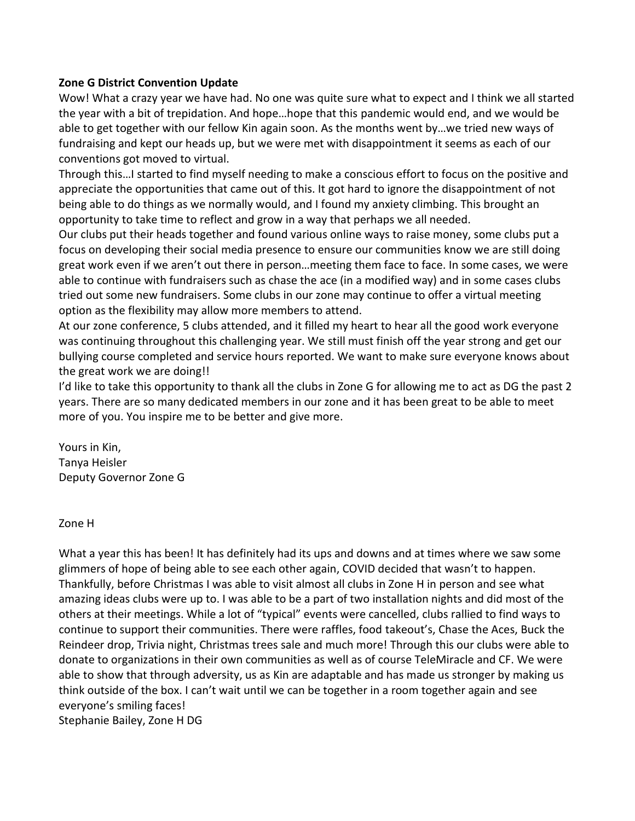# **Zone G District Convention Update**

Wow! What a crazy year we have had. No one was quite sure what to expect and I think we all started the year with a bit of trepidation. And hope…hope that this pandemic would end, and we would be able to get together with our fellow Kin again soon. As the months went by…we tried new ways of fundraising and kept our heads up, but we were met with disappointment it seems as each of our conventions got moved to virtual.

Through this…I started to find myself needing to make a conscious effort to focus on the positive and appreciate the opportunities that came out of this. It got hard to ignore the disappointment of not being able to do things as we normally would, and I found my anxiety climbing. This brought an opportunity to take time to reflect and grow in a way that perhaps we all needed.

Our clubs put their heads together and found various online ways to raise money, some clubs put a focus on developing their social media presence to ensure our communities know we are still doing great work even if we aren't out there in person…meeting them face to face. In some cases, we were able to continue with fundraisers such as chase the ace (in a modified way) and in some cases clubs tried out some new fundraisers. Some clubs in our zone may continue to offer a virtual meeting option as the flexibility may allow more members to attend.

At our zone conference, 5 clubs attended, and it filled my heart to hear all the good work everyone was continuing throughout this challenging year. We still must finish off the year strong and get our bullying course completed and service hours reported. We want to make sure everyone knows about the great work we are doing!!

I'd like to take this opportunity to thank all the clubs in Zone G for allowing me to act as DG the past 2 years. There are so many dedicated members in our zone and it has been great to be able to meet more of you. You inspire me to be better and give more.

Yours in Kin, Tanya Heisler Deputy Governor Zone G

# Zone H

What a year this has been! It has definitely had its ups and downs and at times where we saw some glimmers of hope of being able to see each other again, COVID decided that wasn't to happen. Thankfully, before Christmas I was able to visit almost all clubs in Zone H in person and see what amazing ideas clubs were up to. I was able to be a part of two installation nights and did most of the others at their meetings. While a lot of "typical" events were cancelled, clubs rallied to find ways to continue to support their communities. There were raffles, food takeout's, Chase the Aces, Buck the Reindeer drop, Trivia night, Christmas trees sale and much more! Through this our clubs were able to donate to organizations in their own communities as well as of course TeleMiracle and CF. We were able to show that through adversity, us as Kin are adaptable and has made us stronger by making us think outside of the box. I can't wait until we can be together in a room together again and see everyone's smiling faces! Stephanie Bailey, Zone H DG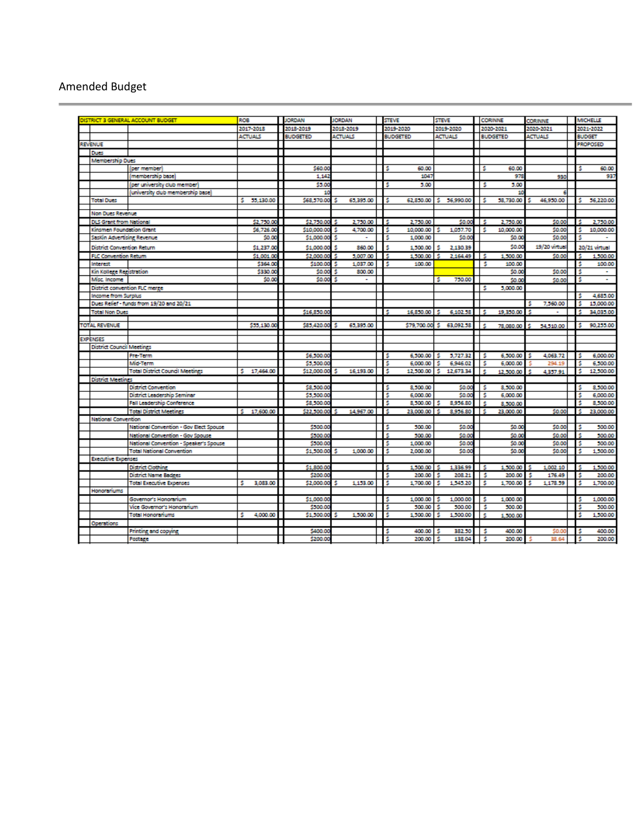# Amended Budget

|                                          | <b>NSTRICT 3 GENERAL ACCOUNT BUDGET</b>  | ROB                    | <b>JORDAN</b>             | <b>JORDAN</b>             | <b>STEVE</b>                      | <b>STEVE</b>                    |         | <b>CORINNE</b>     | <b>CORINNE</b> |               | <b>MICHELLE</b>       |
|------------------------------------------|------------------------------------------|------------------------|---------------------------|---------------------------|-----------------------------------|---------------------------------|---------|--------------------|----------------|---------------|-----------------------|
|                                          |                                          | 2017-2018              | 2018-2019                 | 2018-2019                 | 2019-2020                         | 2019-2020                       |         | 2020-2021          | 2020-2021      |               | 2021-2022             |
|                                          |                                          | <b>ACTUALS</b>         | <b>BUDGETED</b>           | <b>ACTUALS</b>            | <b>BUDGETED</b>                   | <b>ACTUALS</b>                  |         | <b>BUDGETED</b>    | <b>ACTUALS</b> | <b>BUDGET</b> |                       |
| <b>REVENUE</b>                           |                                          |                        |                           |                           |                                   |                                 |         |                    |                |               | <b>PROPOSED</b>       |
| <b>Dues</b>                              |                                          |                        |                           |                           |                                   |                                 |         |                    |                |               |                       |
| <b>Membership Dues</b>                   |                                          |                        |                           |                           |                                   |                                 |         |                    |                |               |                       |
|                                          | (per member)                             |                        | \$60.00                   |                           | s<br>60.00                        |                                 | s       | 60.00              |                |               | 60.00                 |
|                                          | (membership base)                        |                        | 1.147                     |                           | 1047                              |                                 |         | 978                | 930            |               | 937                   |
|                                          | (per university club member)             |                        | \$3.00                    |                           | s<br>5.00                         |                                 | s       | 5.00               |                |               |                       |
|                                          | (university club membership base)        |                        |                           |                           |                                   |                                 |         | 10                 | я              |               |                       |
| <b>Total Dues</b>                        |                                          | s.<br>55,130.00        | \$68,570.00               | 65,395.00                 | s<br>62,850.00                    | 56,990.00<br>s.                 | s       | 58,730.00          | 46,950.00      | s.            | 56,220.00             |
| Non Dues Revenue                         |                                          |                        |                           |                           |                                   |                                 |         |                    |                |               |                       |
| <b>DLS Grant from National</b>           |                                          | \$2,750.00             | \$2,750.00                | 2,750.00<br>s             | 2,750.00<br>s                     | \$0.00                          | s       | 2.750.00           | \$0.00         |               | 2,750.00              |
| Kinsmen Foundation Grant                 |                                          | \$6,726.00             | \$10,000.00               | 4.700.00<br>s             | s<br>10,000.00                    | 1.057.70<br>s                   | s       | 10,000.00          | \$0.00         | \$            | 10,000.00             |
| SasKin Advertising Revenue               |                                          | \$0.00                 | \$1,000.00                | Ś                         | ŝ<br>1,000.00                     | \$0.00                          |         | \$0.00             | \$0.00         | Ś             |                       |
|                                          |                                          |                        |                           | 860.00                    | Ś                                 | 2.130.39                        |         | \$0.00             | 19/20 virtual  |               |                       |
| <b>District Convention Return</b>        |                                          | \$1,237.0              | \$1,000.00                | \$                        | 1,500.00                          |                                 |         |                    |                |               | 20/21 virtual         |
| <b>FLC Convention Return</b><br>Interest |                                          | \$1,001.00<br>\$364.00 | \$2,000.00<br>\$100.00    | 5,007.00<br>Ś<br>1,037.00 | s<br>1,500.00<br>Ś<br>100.00      | 2,164.49<br>s                   | .s<br>s | 1,500.00<br>100.00 | \$0.00         | s<br>\$       | 1,500.00<br>100.00    |
| Kin Kollege Registration                 |                                          | \$330.00               | \$0.00                    | 800.00<br>s               |                                   |                                 |         | \$0.00             | \$0.00         | s             | $\tilde{\phantom{a}}$ |
| Misc. Income                             |                                          | \$0.00                 | \$0.00                    | Ś<br>۰                    |                                   | 750.00<br>s                     |         | \$0.00             | \$0.00         | s             | $\sim$                |
| District convention FLC merge            |                                          |                        |                           |                           |                                   |                                 | s       | 5,000.00           |                |               |                       |
| <b>Income from Surplus</b>               |                                          |                        |                           |                           |                                   |                                 |         |                    |                |               | 4,685.00              |
|                                          | Dues Relief - funds from 19/20 and 20/21 |                        |                           |                           |                                   |                                 |         |                    | 7,560.00<br>s  | s             | 15,000.00             |
| <b>Total Non Dues</b>                    |                                          |                        | \$16,850.00               |                           | 16,850.00 \$<br>- S               | 6,102.58                        | l S     | 19.350.00          |                | -5            | 34.035.00             |
|                                          |                                          |                        |                           |                           |                                   |                                 |         |                    |                |               |                       |
| <b>TOTAL REVENUE</b>                     |                                          | \$55,130.00            | \$85,420.00               | 65.395.00<br>s            | \$79,700.00                       | 63.092.58<br>s                  | s       | 78,080.00          | 54,510.00      | s             | 90.255.00             |
|                                          |                                          |                        |                           |                           |                                   |                                 |         |                    |                |               |                       |
| <b>EXPENSES</b>                          |                                          |                        |                           |                           |                                   |                                 |         |                    |                |               |                       |
| District Council Meetings                |                                          |                        |                           |                           |                                   |                                 |         |                    |                |               |                       |
|                                          | <b>Pre-Term</b>                          |                        | \$6,500.00                |                           | 6,500.00<br>s                     | 5.727.32<br>s                   | s       | 6,500.00           | 4.063.72       | s             | 6,000.00              |
|                                          | Mid-Term                                 | s.<br>17,464.00        | \$5,500.00<br>\$12,000.00 | 16,193.00<br>\$           | \$<br>6,000.00<br>\$<br>12,500.00 | 6,946.02<br>s<br>s<br>12,673.34 | s<br>Ś  | 6,000.00           | 294.19         | \$<br>s       | 6,500.00<br>12,500.00 |
| <b>District Meetings</b>                 | <b>Total District Council Meetings</b>   |                        |                           |                           |                                   |                                 |         | 12.500.00          | 4.357.91       |               |                       |
|                                          | <b>District Convention</b>               |                        | \$8,500.00                |                           | s<br>8,500.00                     | \$0.00                          | s       | 8,500.00           |                | s             | 8,500.00              |
|                                          | District Leadership Seminar              |                        | \$5,500.00                |                           | Ś<br>6,000.00                     | \$0.0                           | s       | 6,000.00           |                | Ś             | 6,000.00              |
|                                          | <b>Fall Leadership Conference</b>        |                        | \$8,500.00                |                           | Ś<br>8,500.00                     | 8,956.80                        | ś       | 8,500.00           |                | ś             | 8,500.00              |
|                                          | <b>Total District Meetings</b>           | 17,600.00<br>s         | \$22,500.00               | 14,967.00                 | s<br>23,000.00                    | 8.956.80                        | s       | 23,000.00          | \$0.00         | ¢             | 23,000.00             |
| <b>National Convention</b>               |                                          |                        |                           |                           |                                   |                                 |         |                    |                |               |                       |
|                                          | National Convention - Gov Elect Spouse   |                        | \$500.00                  |                           | Ś<br>500.00                       | \$0.0                           |         | \$0.00             | \$0.00         | Ś             | 500.00                |
|                                          | National Convention - Gov Spouse         |                        | \$500.00                  |                           | Ś<br>500.00                       | \$0.0                           |         | \$0.00             | \$0.00         |               | 500.00                |
|                                          | National Convention - Speaker's Spouse   |                        | \$500.0                   |                           | Ś<br>1,000.00                     | \$0.00                          |         | \$0.00             | \$0.00         | \$            | 500.00                |
|                                          | <b>Total National Convention</b>         |                        | \$1,500.00                | 1,000.00<br>s             | s<br>2,000.00                     | \$0.00                          |         | \$0.00             | \$0.00         | s             | 1,500.00              |
| <b>Executive Expenses</b>                |                                          |                        |                           |                           |                                   |                                 |         |                    |                |               |                       |
|                                          | <b>District Clothing</b>                 |                        | \$1,800.00                |                           | ŝ<br>1,500.00                     | 1,336.99<br>÷                   | .s      | 1,500.00           | 1,002.10       | s             | 1,500.00              |
|                                          | District Name Badges                     |                        | \$200.00                  |                           | \$<br>200.00                      | 208.21<br>s                     | s       | 200.00             | 176.49<br>s    | s             | 200.00                |
|                                          | <b>Total Executive Expenses</b>          | 3.083.00<br>s          | \$2,000.00                | 1.153.00<br>s             | s<br>1,700.00                     | 1,545.20<br>s                   | s       | 1.700.00           | 1.178.59<br>¢  | s             | 1.700.00              |
| Honoranums                               |                                          |                        |                           |                           |                                   |                                 |         |                    |                |               |                       |
|                                          | Governor's Honorarium                    |                        | \$1,000.00                |                           | \$<br>1,000.00                    | 1,000.00<br>s                   | s       | 1,000.00           |                | \$            | 1,000.00              |
|                                          | Vice Governor's Honorarium               |                        | \$500.00                  |                           | s<br>500.00                       | 500.00                          | s       | 500.00             |                | Ś             | 500.00                |
|                                          | <b>Total Honoraniums</b>                 | 4,000.00<br>s          | \$1,500.00                | 1,500.00<br>s             | 1,500.00<br>s                     | 1,500.00<br>s                   | Ś       | 1,500.00           |                | s             | 1,500.00              |
| Operations                               |                                          |                        |                           |                           |                                   |                                 |         |                    |                |               |                       |
|                                          | Printing and copying                     |                        | \$400.00                  |                           | s<br>400.00                       | 382.50<br>s                     | s       | 400.00             | \$0.0          | \$            | 400.00                |
|                                          | Postage                                  |                        | \$200.00                  |                           | 200.00<br>Ś                       | 138.04<br>s                     | s       | 200.00             | 38.64          | s             | 200.00                |